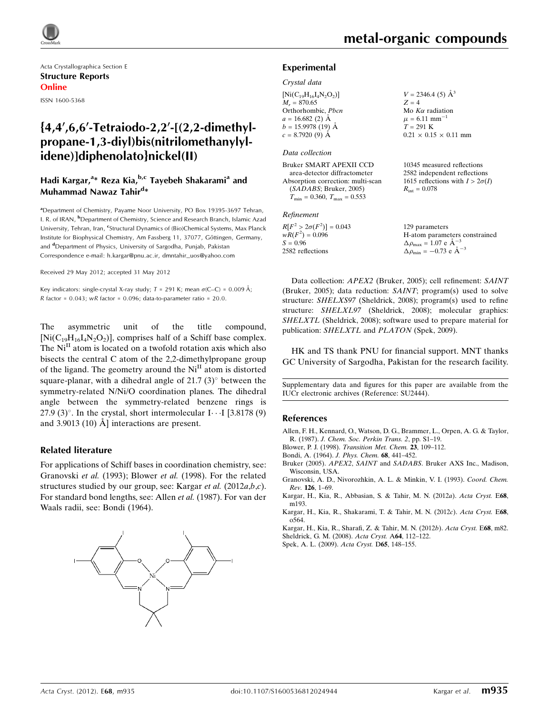

Acta Crystallographica Section E Structure Reports Online ISSN 1600-5368

## ${4,4',6,6'-Tetraiodo-2,2'-[(2,2-dimethyl-1-dimodo-1-dimodo-1-dimodo-1-dimodo-1-dimodo-1-dimodo-1-dimodo-1-dimodo-1-dimodo-1-dimodo-1-dimodo-1-dimodo-1-dimodo-1-dimodo-1-dimodo-1-dimodo-1-dimodo-1-dimodo-1-dimodo-1-dimodo-1-dimodo-1-dimodo-1-dimodo-1-dimodo-1-dimodo-1-dimodo-1-dimodo-1-dimodo-1-dimodo-1-dimodo-1-dimodo-1-dimodo-1$ propane-1,3-diyl)bis(nitrilomethanylylidene)]diphenolato}nickel(II)

## Hadi Kargar,<sup>a</sup>\* Reza Kia,<sup>b,c</sup> Tayebeh Shakarami<sup>a</sup> and Muhammad Nawaz Tahir<sup>d</sup>\*

<sup>a</sup> Department of Chemistry, Payame Noor University, PO Box 19395-3697 Tehran, I. R. of IRAN, <sup>b</sup>Department of Chemistry, Science and Research Branch, Islamic Azad University, Tehran, Iran, <sup>c</sup>Structural Dynamics of (Bio)Chemical Systems, Max Planck Institute for Biophysical Chemistry, Am Fassberg 11, 37077, Göttingen, Germany, and <sup>d</sup>Department of Physics, University of Sargodha, Punjab, Pakistan Correspondence e-mail: [h.kargar@pnu.ac.ir, dmntahir\\_uos@yahoo.com](http://scripts.iucr.org/cgi-bin/cr.cgi?rm=pdfbb&cnor=su2444&bbid=BB10)

Received 29 May 2012; accepted 31 May 2012

Key indicators: single-crystal X-ray study;  $T$  = 291 K; mean  $\sigma$ (C–C) = 0.009 Å;  $R$  factor = 0.043;  $wR$  factor = 0.096; data-to-parameter ratio = 20.0.

The asymmetric unit of the title compound,  $[Ni(C_{19}H_{16}I_4N_2O_2)]$ , comprises half of a Schiff base complex. The  $Ni<sup>II</sup>$  atom is located on a twofold rotation axis which also bisects the central C atom of the 2,2-dimethylpropane group of the ligand. The geometry around the Ni<sup>II</sup> atom is distorted square-planar, with a dihedral angle of  $21.7(3)^\circ$  between the symmetry-related N/Ni/O coordination planes. The dihedral angle between the symmetry-related benzene rings is 27.9 (3)°. In the crystal, short intermolecular  $I \cdots I$  [3.8178 (9) and 3.9013 (10)  $\AA$  interactions are present.

#### Related literature

For applications of Schiff bases in coordination chemistry, see: Granovski et al. (1993); Blower et al. (1998). For the related structures studied by our group, see: Kargar et al. (2012a,b,c). For standard bond lengths, see: Allen et al. (1987). For van der Waals radii, see: Bondi (1964).



 $V = 2346.4$  (5)  $\AA^3$ 

 $0.21 \times 0.15 \times 0.11$  mm

10345 measured reflections 2582 independent reflections 1615 reflections with  $I > 2\sigma(I)$ 

 $Z = 4$ Mo  $K\alpha$  radiation  $\mu = 6.11$  mm<sup>-1</sup>  $T = 291 K$ 

 $R_{\text{int}} = 0.078$ 

#### Experimental

#### Crystal data

| $[Ni(C_{19}H_{16}I_4N_2O_2)]$ |
|-------------------------------|
| $M_r = 870.65$                |
| Orthorhombic, Pbcn            |
| $a = 16.682(2)$ Å             |
| $b = 15.9978(19)$ Å           |
| $c = 8.7920(9)$ Å             |
|                               |

#### Data collection

```
Bruker SMART APEXII CCD
  area-detector diffractometer
Absorption correction: multi-scan
  (SADABS; Bruker, 2005)
  T_{\text{min}} = 0.360, T_{\text{max}} = 0.553
```
#### Refinement

| $R[F^2 > 2\sigma(F^2)] = 0.043$ | 129 parameters                                             |
|---------------------------------|------------------------------------------------------------|
| $wR(F^2) = 0.096$               | H-atom parameters constrained                              |
| $S = 0.96$                      | $\Delta \rho_{\text{max}} = 1.07 \text{ e A}^{-3}$         |
| 2582 reflections                | $\Delta \rho_{\rm min} = -0.73 \text{ e } \text{\AA}^{-3}$ |

Data collection: APEX2 (Bruker, 2005); cell refinement: SAINT (Bruker, 2005); data reduction: SAINT; program(s) used to solve structure: SHELXS97 (Sheldrick, 2008); program(s) used to refine structure: SHELXL97 (Sheldrick, 2008); molecular graphics: SHELXTL (Sheldrick, 2008); software used to prepare material for publication: SHELXTL and PLATON (Spek, 2009).

HK and TS thank PNU for financial support. MNT thanks GC University of Sargodha, Pakistan for the research facility.

Supplementary data and figures for this paper are available from the IUCr electronic archives (Reference: SU2444).

#### References

- [Allen, F. H., Kennard, O., Watson, D. G., Brammer, L., Orpen, A. G. & Taylor,](http://scripts.iucr.org/cgi-bin/cr.cgi?rm=pdfbb&cnor=su2444&bbid=BB1) R. (1987). [J. Chem. Soc. Perkin Trans. 2](http://scripts.iucr.org/cgi-bin/cr.cgi?rm=pdfbb&cnor=su2444&bbid=BB1), pp. S1–19.
- Blower, P. J. (1998). [Transition Met. Chem.](http://scripts.iucr.org/cgi-bin/cr.cgi?rm=pdfbb&cnor=su2444&bbid=BB2) 23, 109–112.
- [Bondi, A. \(1964\).](http://scripts.iucr.org/cgi-bin/cr.cgi?rm=pdfbb&cnor=su2444&bbid=BB3) J. Phys. Chem. 68, 441–452.
- Bruker (2005). APEX2, SAINT and SADABS[. Bruker AXS Inc., Madison,](http://scripts.iucr.org/cgi-bin/cr.cgi?rm=pdfbb&cnor=su2444&bbid=BB4) [Wisconsin, USA.](http://scripts.iucr.org/cgi-bin/cr.cgi?rm=pdfbb&cnor=su2444&bbid=BB4)
- [Granovski, A. D., Nivorozhkin, A. L. & Minkin, V. I. \(1993\).](http://scripts.iucr.org/cgi-bin/cr.cgi?rm=pdfbb&cnor=su2444&bbid=BB5) Coord. Chem. Rev. 126[, 1–69.](http://scripts.iucr.org/cgi-bin/cr.cgi?rm=pdfbb&cnor=su2444&bbid=BB5)
- [Kargar, H., Kia, R., Abbasian, S. & Tahir, M. N. \(2012](http://scripts.iucr.org/cgi-bin/cr.cgi?rm=pdfbb&cnor=su2444&bbid=BB6)a). Acta Cryst. E68, [m193.](http://scripts.iucr.org/cgi-bin/cr.cgi?rm=pdfbb&cnor=su2444&bbid=BB6)
- [Kargar, H., Kia, R., Shakarami, T. & Tahir, M. N. \(2012](http://scripts.iucr.org/cgi-bin/cr.cgi?rm=pdfbb&cnor=su2444&bbid=BB7)c). Acta Cryst. E68, [o564.](http://scripts.iucr.org/cgi-bin/cr.cgi?rm=pdfbb&cnor=su2444&bbid=BB7)

[Kargar, H., Kia, R., Sharafi, Z. & Tahir, M. N. \(2012](http://scripts.iucr.org/cgi-bin/cr.cgi?rm=pdfbb&cnor=su2444&bbid=BB8)b). Acta Cryst. E68, m82.

- [Sheldrick, G. M. \(2008\).](http://scripts.iucr.org/cgi-bin/cr.cgi?rm=pdfbb&cnor=su2444&bbid=BB9) Acta Cryst. A64, 112–122.
- [Spek, A. L. \(2009\).](http://scripts.iucr.org/cgi-bin/cr.cgi?rm=pdfbb&cnor=su2444&bbid=BB10) Acta Cryst. D65, 148–155.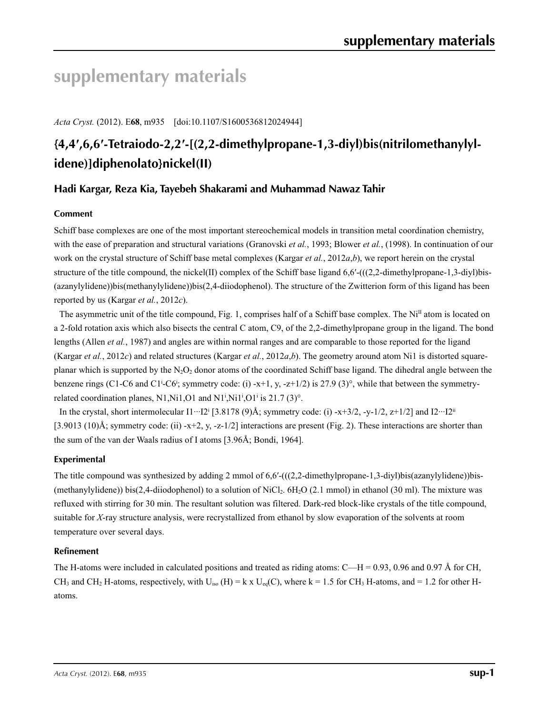# **supplementary materials**

*Acta Cryst.* (2012). E**68**, m935 [doi:10.1107/S1600536812024944]

## **{4,4′,6,6′-Tetraiodo-2,2′-[(2,2-dimethylpropane-1,3-diyl)bis(nitrilomethanylylidene)]diphenolato}nickel(II)**

## **Hadi Kargar, Reza Kia, Tayebeh Shakarami and Muhammad Nawaz Tahir**

### **Comment**

Schiff base complexes are one of the most important stereochemical models in transition metal coordination chemistry, with the ease of preparation and structural variations (Granovski *et al.*, 1993; Blower *et al.*, (1998). In continuation of our work on the crystal structure of Schiff base metal complexes (Kargar *et al.*, 2012*a*,*b*), we report herein on the crystal structure of the title compound, the nickel(II) complex of the Schiff base ligand 6,6'-(((2,2-dimethylpropane-1,3-diyl)bis-(azanylylidene))bis(methanylylidene))bis(2,4-diiodophenol). The structure of the Zwitterion form of this ligand has been reported by us (Kargar *et al.*, 2012*c*).

The asymmetric unit of the title compound, Fig. 1, comprises half of a Schiff base complex. The  $Ni<sup>II</sup>$  atom is located on a 2-fold rotation axis which also bisects the central C atom, C9, of the 2,2-dimethylpropane group in the ligand. The bond lengths (Allen *et al.*, 1987) and angles are within normal ranges and are comparable to those reported for the ligand (Kargar *et al.*, 2012*c*) and related structures (Kargar *et al.*, 2012*a*,*b*). The geometry around atom Ni1 is distorted squareplanar which is supported by the  $N_2O_2$  donor atoms of the coordinated Schiff base ligand. The dihedral angle between the benzene rings (C1-C6 and C1<sup>i</sup>-C6<sup>i</sup>; symmetry code: (i) -x+1, y, -z+1/2) is 27.9 (3)°, while that between the symmetryrelated coordination planes, N1, Ni1, O1 and N1<sup>i</sup>, Ni1<sup>i</sup>, O1<sup>i</sup> is 21.7 (3)<sup>o</sup>.

In the crystal, short intermolecular  $I1 \cdots I2^i$  [3.8178 (9)Å; symmetry code: (i) -x+3/2, -y-1/2, z+1/2] and  $I2 \cdots I2^i$ [3.9013 (10)Å; symmetry code: (ii) -x+2, y, -z-1/2] interactions are present (Fig. 2). These interactions are shorter than the sum of the van der Waals radius of I atoms [3.96Å; Bondi, 1964].

## **Experimental**

The title compound was synthesized by adding 2 mmol of  $6,6'$ - $(((2,2$ -dimethylpropane-1,3-diyl)bis(azanylylidene))bis-(methanylylidene)) bis(2,4-diiodophenol) to a solution of NiCl<sub>2</sub>.  $6H<sub>2</sub>O$  (2.1 mmol) in ethanol (30 ml). The mixture was refluxed with stirring for 30 min. The resultant solution was filtered. Dark-red block-like crystals of the title compound, suitable for *X*-ray structure analysis, were recrystallized from ethanol by slow evaporation of the solvents at room temperature over several days.

#### **Refinement**

The H-atoms were included in calculated positions and treated as riding atoms:  $C-H = 0.93$ , 0.96 and 0.97 Å for CH, CH<sub>3</sub> and CH<sub>2</sub> H-atoms, respectively, with U<sub>iso</sub> (H) = k x U<sub>eq</sub>(C), where k = 1.5 for CH<sub>3</sub> H-atoms, and = 1.2 for other Hatoms.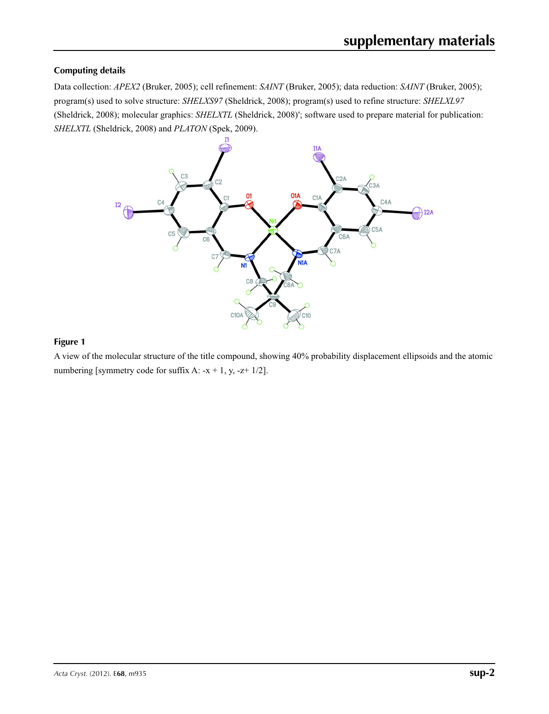## **Computing details**

Data collection: *APEX2* (Bruker, 2005); cell refinement: *SAINT* (Bruker, 2005); data reduction: *SAINT* (Bruker, 2005); program(s) used to solve structure: *SHELXS97* (Sheldrick, 2008); program(s) used to refine structure: *SHELXL97* (Sheldrick, 2008); molecular graphics: *SHELXTL* (Sheldrick, 2008)′; software used to prepare material for publication: *SHELXTL* (Sheldrick, 2008) and *PLATON* (Spek, 2009).



#### **Figure 1**

A view of the molecular structure of the title compound, showing 40% probability displacement ellipsoids and the atomic numbering [symmetry code for suffix A:  $-x + 1$ , y,  $-z+1/2$ ].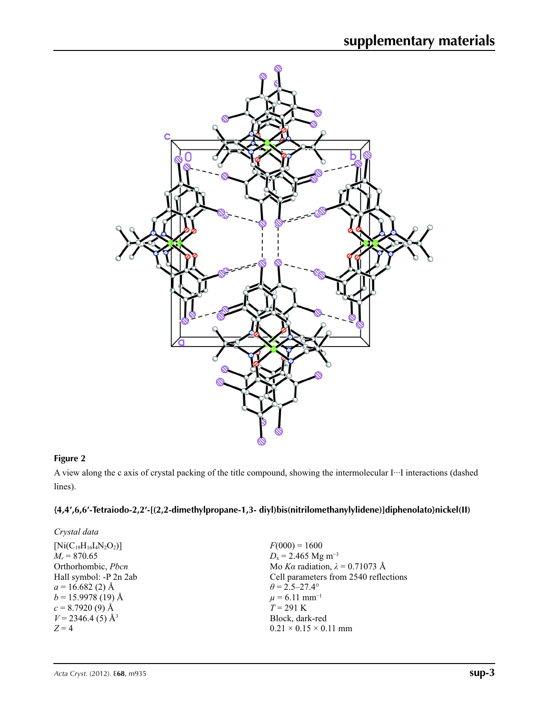

## **Figure 2**

A view along the c axis of crystal packing of the title compound, showing the intermolecular I···I interactions (dashed lines).

## **{4,4′,6,6′-Tetraiodo-2,2′-[(2,2-dimethylpropane-1,3- diyl)bis(nitrilomethanylylidene)]diphenolato}nickel(II)**

| Crystal data                    |                                        |
|---------------------------------|----------------------------------------|
| $[Ni(C_{19}H_{16}I_4N_2O_2)]$   | $F(000) = 1600$                        |
| $M_r = 870.65$                  | $D_x = 2.465$ Mg m <sup>-3</sup>       |
| Orthorhombic, Pbcn              | Mo Ka radiation, $\lambda = 0.71073$ Å |
| Hall symbol: -P 2n 2ab          | Cell parameters from 2540 reflections  |
| $a = 16.682(2)$ Å               | $\theta$ = 2.5–27.4°                   |
| $b = 15.9978(19)$ Å             | $\mu$ = 6.11 mm <sup>-1</sup>          |
| $c = 8.7920(9)$ Å               | $T = 291 \text{ K}$                    |
| $V = 2346.4$ (5) Å <sup>3</sup> | Block, dark-red                        |
| $Z=4$                           | $0.21 \times 0.15 \times 0.11$ mm      |
|                                 |                                        |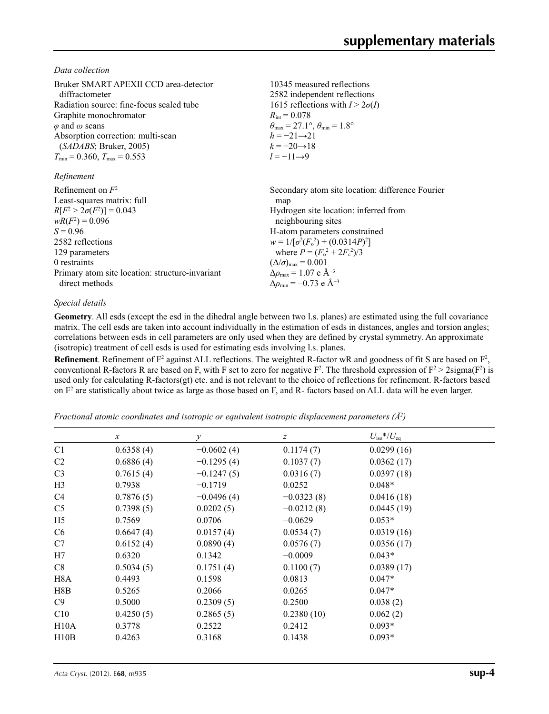*Data collection*

| Bruker SMART APEXII CCD area-detector<br>diffractometer<br>Radiation source: fine-focus sealed tube<br>Graphite monochromator<br>$\varphi$ and $\omega$ scans<br>Absorption correction: multi-scan<br>(SADABS; Bruker, 2005)<br>$T_{\text{min}}$ = 0.360, $T_{\text{max}}$ = 0.553<br>Refinement | 10345 measured reflections<br>2582 independent reflections<br>1615 reflections with $I > 2\sigma(I)$<br>$R_{\rm int} = 0.078$<br>$\theta_{\text{max}} = 27.1^{\circ}, \theta_{\text{min}} = 1.8^{\circ}$<br>$h = -21 \rightarrow 21$<br>$k = -20 \rightarrow 18$<br>$l = -11 \rightarrow 9$ |
|--------------------------------------------------------------------------------------------------------------------------------------------------------------------------------------------------------------------------------------------------------------------------------------------------|---------------------------------------------------------------------------------------------------------------------------------------------------------------------------------------------------------------------------------------------------------------------------------------------|
| Refinement on $F^2$                                                                                                                                                                                                                                                                              | Secondary atom site location: difference Fourier                                                                                                                                                                                                                                            |
| Least-squares matrix: full                                                                                                                                                                                                                                                                       | map                                                                                                                                                                                                                                                                                         |
| $R[F^2 > 2\sigma(F^2)] = 0.043$                                                                                                                                                                                                                                                                  | Hydrogen site location: inferred from                                                                                                                                                                                                                                                       |
| $wR(F^2) = 0.096$                                                                                                                                                                                                                                                                                | neighbouring sites                                                                                                                                                                                                                                                                          |
| $S = 0.96$                                                                                                                                                                                                                                                                                       | H-atom parameters constrained                                                                                                                                                                                                                                                               |
| 2582 reflections                                                                                                                                                                                                                                                                                 | $w = 1/[\sigma^2(F_0^2) + (0.0314P)^2]$                                                                                                                                                                                                                                                     |
| 129 parameters                                                                                                                                                                                                                                                                                   | where $P = (F_0^2 + 2F_c^2)/3$                                                                                                                                                                                                                                                              |
| 0 restraints                                                                                                                                                                                                                                                                                     | $(\Delta/\sigma)_{\text{max}} = 0.001$                                                                                                                                                                                                                                                      |
| Primary atom site location: structure-invariant                                                                                                                                                                                                                                                  | $\Delta\rho_{\text{max}} = 1.07$ e Å <sup>-3</sup>                                                                                                                                                                                                                                          |
| direct methods                                                                                                                                                                                                                                                                                   | $\Delta \rho_{\rm min} = -0.73$ e Å <sup>-3</sup>                                                                                                                                                                                                                                           |

### *Special details*

**Geometry**. All esds (except the esd in the dihedral angle between two l.s. planes) are estimated using the full covariance matrix. The cell esds are taken into account individually in the estimation of esds in distances, angles and torsion angles; correlations between esds in cell parameters are only used when they are defined by crystal symmetry. An approximate (isotropic) treatment of cell esds is used for estimating esds involving l.s. planes.

**Refinement**. Refinement of  $F^2$  against ALL reflections. The weighted R-factor wR and goodness of fit S are based on  $F^2$ , conventional R-factors R are based on F, with F set to zero for negative  $F^2$ . The threshold expression of  $F^2 > 2 \text{sigma}(F^2)$  is used only for calculating R-factors(gt) etc. and is not relevant to the choice of reflections for refinement. R-factors based on  $F<sup>2</sup>$  are statistically about twice as large as those based on F, and R- factors based on ALL data will be even larger.

*Fractional atomic coordinates and isotropic or equivalent isotropic displacement parameters (Å2 )*

|                  | $\mathcal{X}$ | $\mathcal{Y}$ | Ζ            | $U_{\rm iso}$ */ $U_{\rm eq}$ |  |
|------------------|---------------|---------------|--------------|-------------------------------|--|
| C <sub>1</sub>   | 0.6358(4)     | $-0.0602(4)$  | 0.1174(7)    | 0.0299(16)                    |  |
| C <sub>2</sub>   | 0.6886(4)     | $-0.1295(4)$  | 0.1037(7)    | 0.0362(17)                    |  |
| C <sub>3</sub>   | 0.7615(4)     | $-0.1247(5)$  | 0.0316(7)    | 0.0397(18)                    |  |
| H <sub>3</sub>   | 0.7938        | $-0.1719$     | 0.0252       | $0.048*$                      |  |
| C4               | 0.7876(5)     | $-0.0496(4)$  | $-0.0323(8)$ | 0.0416(18)                    |  |
| C <sub>5</sub>   | 0.7398(5)     | 0.0202(5)     | $-0.0212(8)$ | 0.0445(19)                    |  |
| H <sub>5</sub>   | 0.7569        | 0.0706        | $-0.0629$    | $0.053*$                      |  |
| C <sub>6</sub>   | 0.6647(4)     | 0.0157(4)     | 0.0534(7)    | 0.0319(16)                    |  |
| C7               | 0.6152(4)     | 0.0890(4)     | 0.0576(7)    | 0.0356(17)                    |  |
| H7               | 0.6320        | 0.1342        | $-0.0009$    | $0.043*$                      |  |
| C8               | 0.5034(5)     | 0.1751(4)     | 0.1100(7)    | 0.0389(17)                    |  |
| H <sub>8</sub> A | 0.4493        | 0.1598        | 0.0813       | $0.047*$                      |  |
| H8B              | 0.5265        | 0.2066        | 0.0265       | $0.047*$                      |  |
| C9               | 0.5000        | 0.2309(5)     | 0.2500       | 0.038(2)                      |  |
| C10              | 0.4250(5)     | 0.2865(5)     | 0.2380(10)   | 0.062(2)                      |  |
| H10A             | 0.3778        | 0.2522        | 0.2412       | $0.093*$                      |  |
| H10B             | 0.4263        | 0.3168        | 0.1438       | $0.093*$                      |  |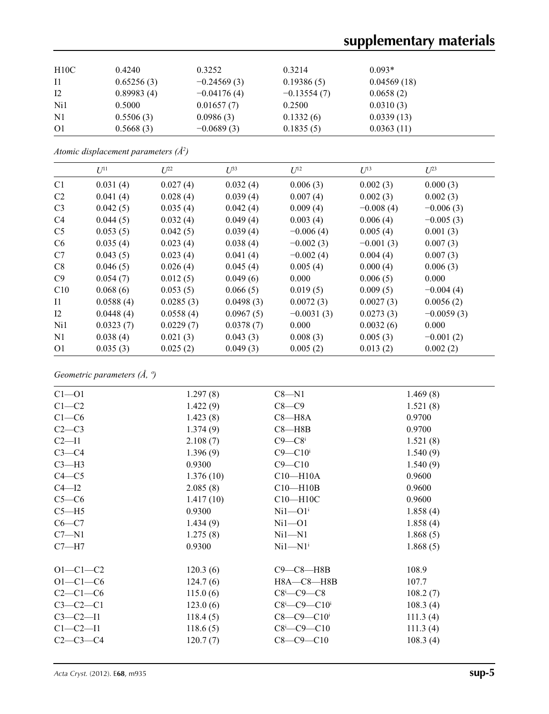| H10C           | 0.4240     | 0.3252        | 0.3214        | $0.093*$    |  |
|----------------|------------|---------------|---------------|-------------|--|
| <sup>11</sup>  | 0.65256(3) | $-0.24569(3)$ | 0.19386(5)    | 0.04569(18) |  |
| 12             | 0.89983(4) | $-0.04176(4)$ | $-0.13554(7)$ | 0.0658(2)   |  |
| Ni1            | 0.5000     | 0.01657(7)    | 0.2500        | 0.0310(3)   |  |
| $\rm N1$       | 0.5506(3)  | 0.0986(3)     | 0.1332(6)     | 0.0339(13)  |  |
| O <sub>1</sub> | 0.5668(3)  | $-0.0689(3)$  | 0.1835(5)     | 0.0363(11)  |  |

*Atomic displacement parameters (Å2 )*

| $U^{11}$  | $L^{22}$  | $U^{33}$  | $U^{12}$     | $U^{13}$    | $U^{23}$     |
|-----------|-----------|-----------|--------------|-------------|--------------|
| 0.031(4)  | 0.027(4)  | 0.032(4)  | 0.006(3)     | 0.002(3)    | 0.000(3)     |
| 0.041(4)  | 0.028(4)  | 0.039(4)  | 0.007(4)     | 0.002(3)    | 0.002(3)     |
| 0.042(5)  | 0.035(4)  | 0.042(4)  | 0.009(4)     | $-0.008(4)$ | $-0.006(3)$  |
| 0.044(5)  | 0.032(4)  | 0.049(4)  | 0.003(4)     | 0.006(4)    | $-0.005(3)$  |
| 0.053(5)  | 0.042(5)  | 0.039(4)  | $-0.006(4)$  | 0.005(4)    | 0.001(3)     |
| 0.035(4)  | 0.023(4)  | 0.038(4)  | $-0.002(3)$  | $-0.001(3)$ | 0.007(3)     |
| 0.043(5)  | 0.023(4)  | 0.041(4)  | $-0.002(4)$  | 0.004(4)    | 0.007(3)     |
| 0.046(5)  | 0.026(4)  | 0.045(4)  | 0.005(4)     | 0.000(4)    | 0.006(3)     |
| 0.054(7)  | 0.012(5)  | 0.049(6)  | 0.000        | 0.006(5)    | 0.000        |
| 0.068(6)  | 0.053(5)  | 0.066(5)  | 0.019(5)     | 0.009(5)    | $-0.004(4)$  |
| 0.0588(4) | 0.0285(3) | 0.0498(3) | 0.0072(3)    | 0.0027(3)   | 0.0056(2)    |
| 0.0448(4) | 0.0558(4) | 0.0967(5) | $-0.0031(3)$ | 0.0273(3)   | $-0.0059(3)$ |
| 0.0323(7) | 0.0229(7) | 0.0378(7) | 0.000        | 0.0032(6)   | 0.000        |
| 0.038(4)  | 0.021(3)  | 0.043(3)  | 0.008(3)     | 0.005(3)    | $-0.001(2)$  |
| 0.035(3)  | 0.025(2)  | 0.049(3)  | 0.005(2)     | 0.013(2)    | 0.002(2)     |
|           |           |           |              |             |              |

*Geometric parameters (Å, º)*

| $C1 - 01$      | 1.297(8)  | $C8 - N1$                              | 1.469(8) |  |
|----------------|-----------|----------------------------------------|----------|--|
| $C1-C2$        | 1.422(9)  | $C8-C9$                                | 1.521(8) |  |
| $C1-C6$        | 1.423(8)  | $C8 - H8A$                             | 0.9700   |  |
| $C2-C3$        | 1.374(9)  | $C8 - H8B$                             | 0.9700   |  |
| $C2 - I1$      | 2.108(7)  | $C9 - C8$ <sup>i</sup>                 | 1.521(8) |  |
| $C3-C4$        | 1.396(9)  | $C9 - C10$ i                           | 1.540(9) |  |
| $C3-H3$        | 0.9300    | $C9 - C10$                             | 1.540(9) |  |
| $C4 - C5$      | 1.376(10) | $C10 - H10A$                           | 0.9600   |  |
| $C4 - I2$      | 2.085(8)  | $C10-H10B$                             | 0.9600   |  |
| $C5-C6$        | 1.417(10) | $C10 - H10C$                           | 0.9600   |  |
| $C5 - H5$      | 0.9300    | $Ni1 - O1i$                            | 1.858(4) |  |
| $C6-C7$        | 1.434(9)  | $Ni1 - O1$                             | 1.858(4) |  |
| $C7 - N1$      | 1.275(8)  | $Ni1 - N1$                             | 1.868(5) |  |
| $C7 - H7$      | 0.9300    | $Ni1 - N1i$                            | 1.868(5) |  |
| $O1 - C1 - C2$ | 120.3(6)  | $C9-C8-H8B$                            | 108.9    |  |
| $O1 - C1 - C6$ | 124.7(6)  | $H8A - C8 - H8B$                       | 107.7    |  |
| $C2-C1-C6$     | 115.0(6)  | $C8$ <sup>i</sup> - $C9$ - $C8$        | 108.2(7) |  |
| $C3-C2-C1$     | 123.0(6)  | $C8$ <sup>i</sup> —C9—C10 <sup>i</sup> | 108.3(4) |  |
| $C3 - C2 - I1$ | 118.4(5)  | $C8 - C9 - C10$ <sup>i</sup>           | 111.3(4) |  |
| $C1 - C2 - I1$ | 118.6(5)  | $C8$ <sup>i</sup> - $C9$ - $C10$       | 111.3(4) |  |
| $C2 - C3 - C4$ | 120.7(7)  | $C8 - C9 - C10$                        | 108.3(4) |  |
|                |           |                                        |          |  |